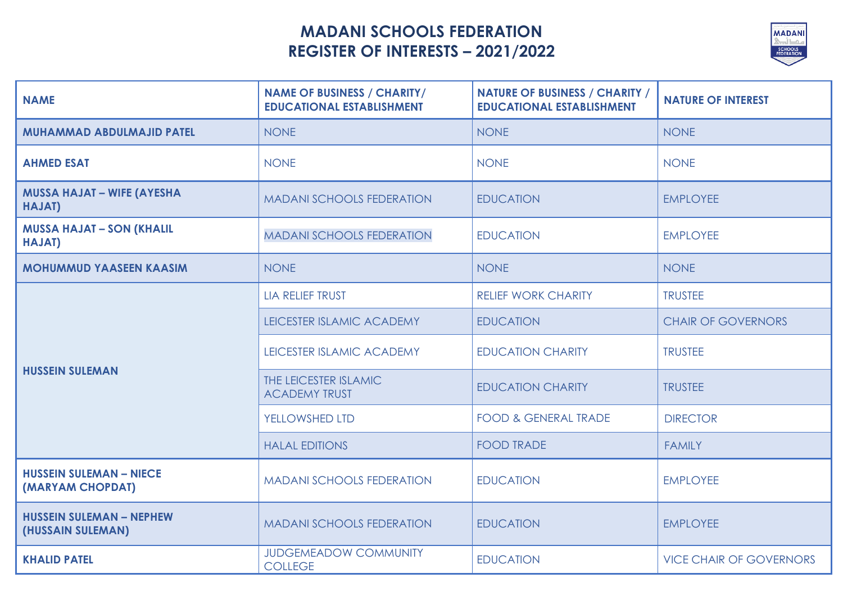## **MADANI SCHOOLS FEDERATION REGISTER OF INTERESTS – 2021/2022**



| <b>NAME</b>                                          | <b>NAME OF BUSINESS / CHARITY/</b><br><b>EDUCATIONAL ESTABLISHMENT</b> | <b>NATURE OF BUSINESS / CHARITY /</b><br><b>EDUCATIONAL ESTABLISHMENT</b> | <b>NATURE OF INTEREST</b>      |
|------------------------------------------------------|------------------------------------------------------------------------|---------------------------------------------------------------------------|--------------------------------|
| <b>MUHAMMAD ABDULMAJID PATEL</b>                     | <b>NONE</b>                                                            | <b>NONE</b>                                                               | <b>NONE</b>                    |
| <b>AHMED ESAT</b>                                    | <b>NONE</b>                                                            | <b>NONE</b>                                                               | <b>NONE</b>                    |
| <b>MUSSA HAJAT - WIFE (AYESHA</b><br>HAJAT)          | <b>MADANI SCHOOLS FEDERATION</b>                                       | <b>EDUCATION</b>                                                          | <b>EMPLOYEE</b>                |
| <b>MUSSA HAJAT - SON (KHALIL</b><br><b>HAJAT)</b>    | <b>MADANI SCHOOLS FEDERATION</b>                                       | <b>EDUCATION</b>                                                          | <b>EMPLOYEE</b>                |
| <b>MOHUMMUD YAASEEN KAASIM</b>                       | <b>NONE</b>                                                            | <b>NONE</b>                                                               | <b>NONE</b>                    |
| <b>HUSSEIN SULEMAN</b>                               | <b>LIA RELIEF TRUST</b>                                                | <b>RELIEF WORK CHARITY</b>                                                | <b>TRUSTEE</b>                 |
|                                                      | LEICESTER ISLAMIC ACADEMY                                              | <b>EDUCATION</b>                                                          | <b>CHAIR OF GOVERNORS</b>      |
|                                                      | LEICESTER ISLAMIC ACADEMY                                              | <b>EDUCATION CHARITY</b>                                                  | <b>TRUSTEE</b>                 |
|                                                      | THE LEICESTER ISLAMIC<br><b>ACADEMY TRUST</b>                          | <b>EDUCATION CHARITY</b>                                                  | <b>TRUSTEE</b>                 |
|                                                      | <b>YELLOWSHED LTD</b>                                                  | <b>FOOD &amp; GENERAL TRADE</b>                                           | <b>DIRECTOR</b>                |
|                                                      | <b>HALAL EDITIONS</b>                                                  | <b>FOOD TRADE</b>                                                         | <b>FAMILY</b>                  |
| <b>HUSSEIN SULEMAN - NIECE</b><br>(MARYAM CHOPDAT)   | <b>MADANI SCHOOLS FEDERATION</b>                                       | <b>EDUCATION</b>                                                          | <b>EMPLOYEE</b>                |
| <b>HUSSEIN SULEMAN - NEPHEW</b><br>(HUSSAIN SULEMAN) | <b>MADANI SCHOOLS FEDERATION</b>                                       | <b>EDUCATION</b>                                                          | <b>EMPLOYEE</b>                |
| <b>KHALID PATEL</b>                                  | <b>JUDGEMEADOW COMMUNITY</b><br><b>COLLEGE</b>                         | <b>EDUCATION</b>                                                          | <b>VICE CHAIR OF GOVERNORS</b> |